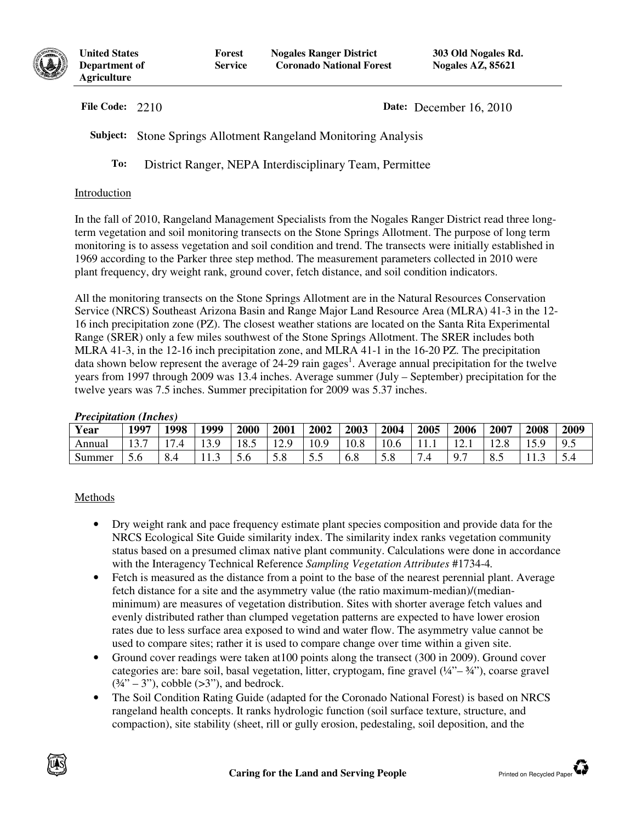

**United States Department of Agriculture**

**File Code:** 2210 **Date:** December 16, 2010

**Subject:** Stone Springs Allotment Rangeland Monitoring Analysis

**To:** District Ranger, NEPA Interdisciplinary Team, Permittee

## Introduction

In the fall of 2010, Rangeland Management Specialists from the Nogales Ranger District read three longterm vegetation and soil monitoring transects on the Stone Springs Allotment. The purpose of long term monitoring is to assess vegetation and soil condition and trend. The transects were initially established in 1969 according to the Parker three step method. The measurement parameters collected in 2010 were plant frequency, dry weight rank, ground cover, fetch distance, and soil condition indicators.

All the monitoring transects on the Stone Springs Allotment are in the Natural Resources Conservation Service (NRCS) Southeast Arizona Basin and Range Major Land Resource Area (MLRA) 41-3 in the 12- 16 inch precipitation zone (PZ). The closest weather stations are located on the Santa Rita Experimental Range (SRER) only a few miles southwest of the Stone Springs Allotment. The SRER includes both MLRA 41-3, in the 12-16 inch precipitation zone, and MLRA 41-1 in the 16-20 PZ. The precipitation data shown below represent the average of 24-29 rain gages<sup>1</sup>. Average annual precipitation for the twelve years from 1997 through 2009 was 13.4 inches. Average summer (July – September) precipitation for the twelve years was 7.5 inches. Summer precipitation for 2009 was 5.37 inches.

#### *Precipitation (Inches)*

| Year   | 1997                                     | 1998 | 1999 | 2000 | 2001        | 2002       | 2003 | 2004 | 2005 | 2006          | 2007 | 2008 | 2009       |
|--------|------------------------------------------|------|------|------|-------------|------------|------|------|------|---------------|------|------|------------|
| Annual | $1 \cap \overline{\mathcal{F}}$<br>1 J . | 1 ~  | 13.9 | 18.5 | 120<br>14.2 | 10.9       | 10.8 | 10.6 | 11.1 | $\frac{1}{2}$ | 2.8  | 15.9 | $9_{\sim}$ |
| Summer | D.0                                      | o.4  | 1.5  | o    | 5.8         | Ε.<br>ن. ب | 6.8  | J.0  |      |               | 8.5  | .    | ◡.¬        |

# Methods

- Dry weight rank and pace frequency estimate plant species composition and provide data for the NRCS Ecological Site Guide similarity index. The similarity index ranks vegetation community status based on a presumed climax native plant community. Calculations were done in accordance with the Interagency Technical Reference *Sampling Vegetation Attributes* #1734-4*.*
- Fetch is measured as the distance from a point to the base of the nearest perennial plant. Average fetch distance for a site and the asymmetry value (the ratio maximum-median)/(medianminimum) are measures of vegetation distribution. Sites with shorter average fetch values and evenly distributed rather than clumped vegetation patterns are expected to have lower erosion rates due to less surface area exposed to wind and water flow. The asymmetry value cannot be used to compare sites; rather it is used to compare change over time within a given site.
- Ground cover readings were taken at 100 points along the transect (300 in 2009). Ground cover categories are: bare soil, basal vegetation, litter, cryptogam, fine gravel  $(44 - 34)$ , coarse gravel  $(34" - 3")$ , cobble  $(>3")$ , and bedrock.
- The Soil Condition Rating Guide (adapted for the Coronado National Forest) is based on NRCS rangeland health concepts. It ranks hydrologic function (soil surface texture, structure, and compaction), site stability (sheet, rill or gully erosion, pedestaling, soil deposition, and the

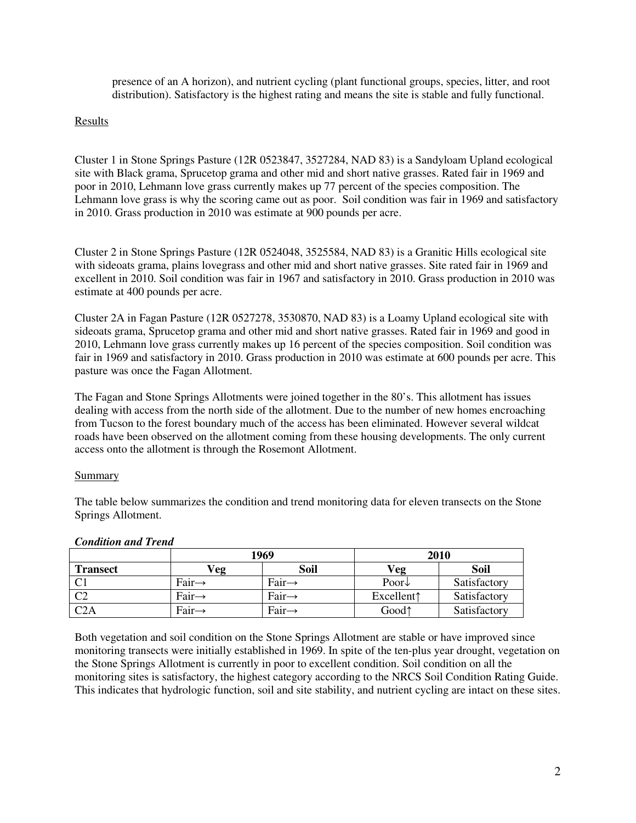presence of an A horizon), and nutrient cycling (plant functional groups, species, litter, and root distribution). Satisfactory is the highest rating and means the site is stable and fully functional.

## Results

Cluster 1 in Stone Springs Pasture (12R 0523847, 3527284, NAD 83) is a Sandyloam Upland ecological site with Black grama, Sprucetop grama and other mid and short native grasses. Rated fair in 1969 and poor in 2010, Lehmann love grass currently makes up 77 percent of the species composition. The Lehmann love grass is why the scoring came out as poor. Soil condition was fair in 1969 and satisfactory in 2010. Grass production in 2010 was estimate at 900 pounds per acre.

Cluster 2 in Stone Springs Pasture (12R 0524048, 3525584, NAD 83) is a Granitic Hills ecological site with sideoats grama, plains lovegrass and other mid and short native grasses. Site rated fair in 1969 and excellent in 2010. Soil condition was fair in 1967 and satisfactory in 2010. Grass production in 2010 was estimate at 400 pounds per acre.

Cluster 2A in Fagan Pasture (12R 0527278, 3530870, NAD 83) is a Loamy Upland ecological site with sideoats grama, Sprucetop grama and other mid and short native grasses. Rated fair in 1969 and good in 2010, Lehmann love grass currently makes up 16 percent of the species composition. Soil condition was fair in 1969 and satisfactory in 2010. Grass production in 2010 was estimate at 600 pounds per acre. This pasture was once the Fagan Allotment.

The Fagan and Stone Springs Allotments were joined together in the 80's. This allotment has issues dealing with access from the north side of the allotment. Due to the number of new homes encroaching from Tucson to the forest boundary much of the access has been eliminated. However several wildcat roads have been observed on the allotment coming from these housing developments. The only current access onto the allotment is through the Rosemont Allotment.

## Summary

The table below summarizes the condition and trend monitoring data for eleven transects on the Stone Springs Allotment.

|                 |                    | 1969               | 2010                 |              |  |  |
|-----------------|--------------------|--------------------|----------------------|--------------|--|--|
| <b>Transect</b> | $V_{\mathbf{eg}}$  | Soil               | Veg                  | Soil         |  |  |
|                 | Fair $\rightarrow$ | Fair $\rightarrow$ | Poor $\downarrow$    | Satisfactory |  |  |
| $\Gamma$        | Fair $\rightarrow$ | Fair $\rightarrow$ | Excellent $\uparrow$ | Satisfactory |  |  |
| C2A             | Fair $\rightarrow$ | $Fair \rightarrow$ | Good <sup>1</sup>    | Satisfactory |  |  |

#### *Condition and Trend*

Both vegetation and soil condition on the Stone Springs Allotment are stable or have improved since monitoring transects were initially established in 1969. In spite of the ten-plus year drought, vegetation on the Stone Springs Allotment is currently in poor to excellent condition. Soil condition on all the monitoring sites is satisfactory, the highest category according to the NRCS Soil Condition Rating Guide. This indicates that hydrologic function, soil and site stability, and nutrient cycling are intact on these sites.